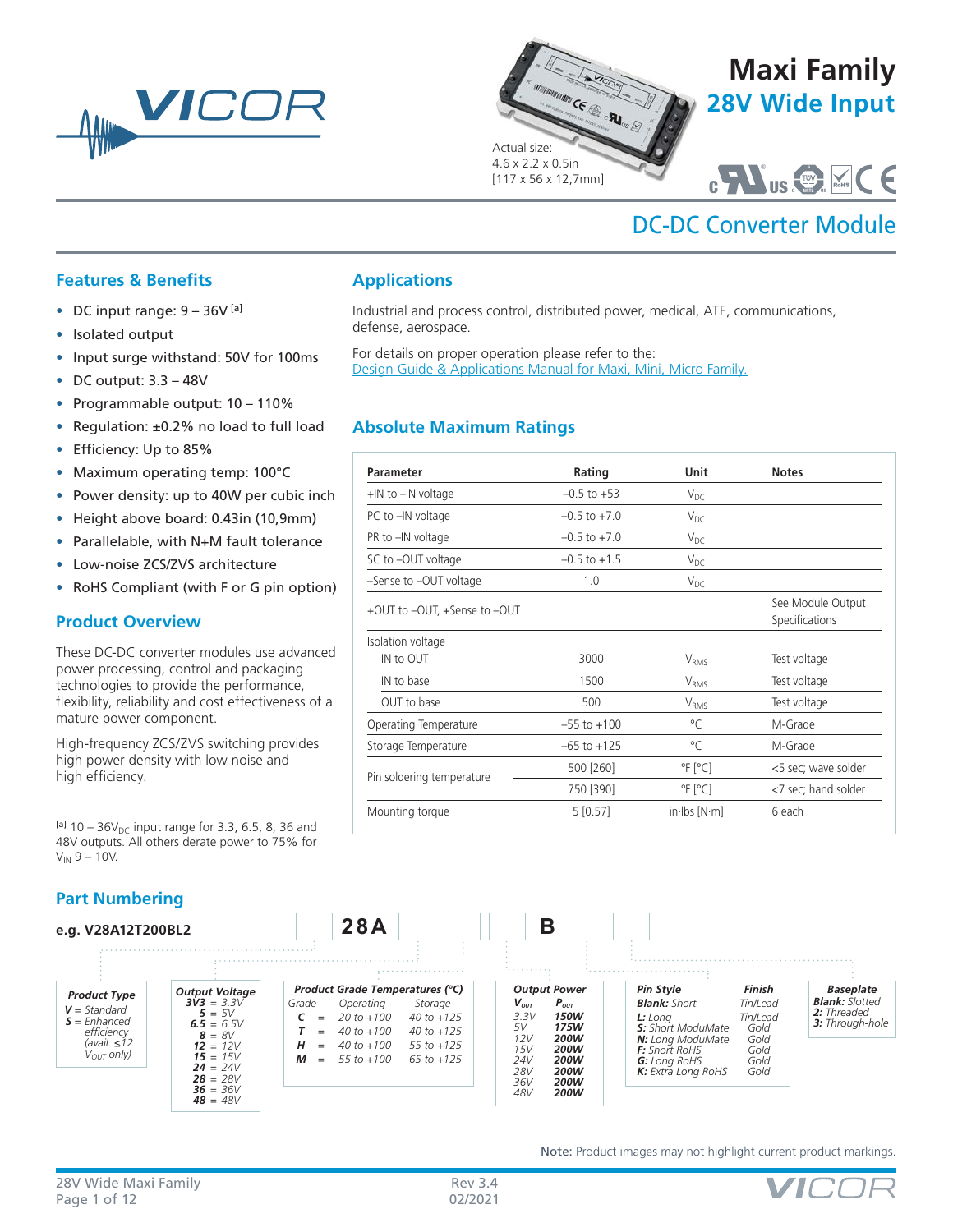



Industrial and process control, distributed power, medical, ATE, communications,



# DC-DC Converter Module

®

## **Features & Benefits**

- DC input range:  $9 36V^{[a]}$
- Isolated output
- Input surge withstand: 50V for 100ms
- DC output:  $3.3 48V$
- Programmable output: 10 110%
- Regulation: ±0.2% no load to full load
- Efficiency: Up to 85%
- Maximum operating temp: 100°C
- Power density: up to 40W per cubic inch
- Height above board: 0.43in (10,9mm)
- Parallelable, with N+M fault tolerance
- Low-noise ZCS/ZVS architecture
- RoHS Compliant (with F or G pin option)

### **Product Overview**

These DC-DC converter modules use advanced power processing, control and packaging technologies to provide the performance, flexibility, reliability and cost effectiveness of a mature power component.

High-frequency ZCS/ZVS switching provides high power density with low noise and high efficiency.

 $[a]$  10 – 36 $V_{DC}$  input range for 3.3, 6.5, 8, 36 and 48V outputs. All others derate power to 75% for  $V_{IN}$  9 – 10V.

## **Part Numbering**

#### *Output Voltage 3V3 = 3.3V*  $5 = 5V$ <br> $6.5 = 6.5V$ *8 = 8V 12 = 12V 15 = 15V*  $24 = 24V$ *28 = 28V 36 = 36V 48 = 48V* **e.g. V28A12T200BL2 28A B** *Pin Style Finish Blank: Short L: Long Tin/Lead S: Short ModuMate Gold N: Long ModuMate Gold F: Short RoHS Gold G: Long RoHS Gold K: Extra Long RoHS Gold Product Type V = Standard S = Enhanced efficiency (avail. ≤12 VOUT only) Output Power*  $V_{\text{out}}$   $P_{\text{out}}$ *3.3V 150W 5V 175W 12V 200W 15V 200W 24V 200W 28V 200W 36V 200W 48V 200W Product Grade Temperatures (°C)* Grade Operating *C = –20 to +100 –40 to +125 T = –40 to +100 –40 to +125 H = –40 to +100 –55 to +125 M = –55 to +100 –65 to +125*

Note: Product images may not highlight current product markings.



*Baseplate Blank: Slotted 2: Threaded 3: Through-hole*

## **Absolute Maximum Ratings**

For details on proper operation please refer to the:

[Design Guide & Applications Manual for Maxi, Mini, Micro Family.](http://www.vicorpower.com/documents/applications_manual/fas_trak_apps_manual.pdf)

**Applications**

defense, aerospace.

| Parameter                    | Rating           | Unit                     | <b>Notes</b>                        |
|------------------------------|------------------|--------------------------|-------------------------------------|
| +IN to -IN voltage           | $-0.5$ to $+53$  | $V_{DC}$                 |                                     |
| PC to -IN voltage            | $-0.5$ to $+7.0$ | $V_{DC}$                 |                                     |
| PR to -IN voltage            | $-0.5$ to $+7.0$ | $V_{DC}$                 |                                     |
| SC to -OUT voltage           | $-0.5$ to $+1.5$ | $V_{DC}$                 |                                     |
| -Sense to -OUT voltage       | 1.0              | $V_{DC}$                 |                                     |
| +OUT to -OUT, +Sense to -OUT |                  |                          | See Module Output<br>Specifications |
| Isolation voltage            |                  |                          |                                     |
| IN to OUT                    | 3000             | V <sub>RMS</sub>         | Test voltage                        |
| IN to base                   | 1500             | V <sub>RMS</sub>         | Test voltage                        |
| OUT to base                  | 500              | V <sub>RMS</sub>         | Test voltage                        |
| Operating Temperature        | $-55$ to $+100$  | °C                       | M-Grade                             |
| Storage Temperature          | $-65$ to $+125$  | °C                       | M-Grade                             |
|                              | 500 [260]        | $\degree$ F $\degree$ C] | <5 sec; wave solder                 |
| Pin soldering temperature    | 750 [390]        | $\degree$ F $\degree$ C] | <7 sec; hand solder                 |
| Mounting torque              | 5[0.57]          | $in$ lbs $[N \cdot m]$   | 6 each                              |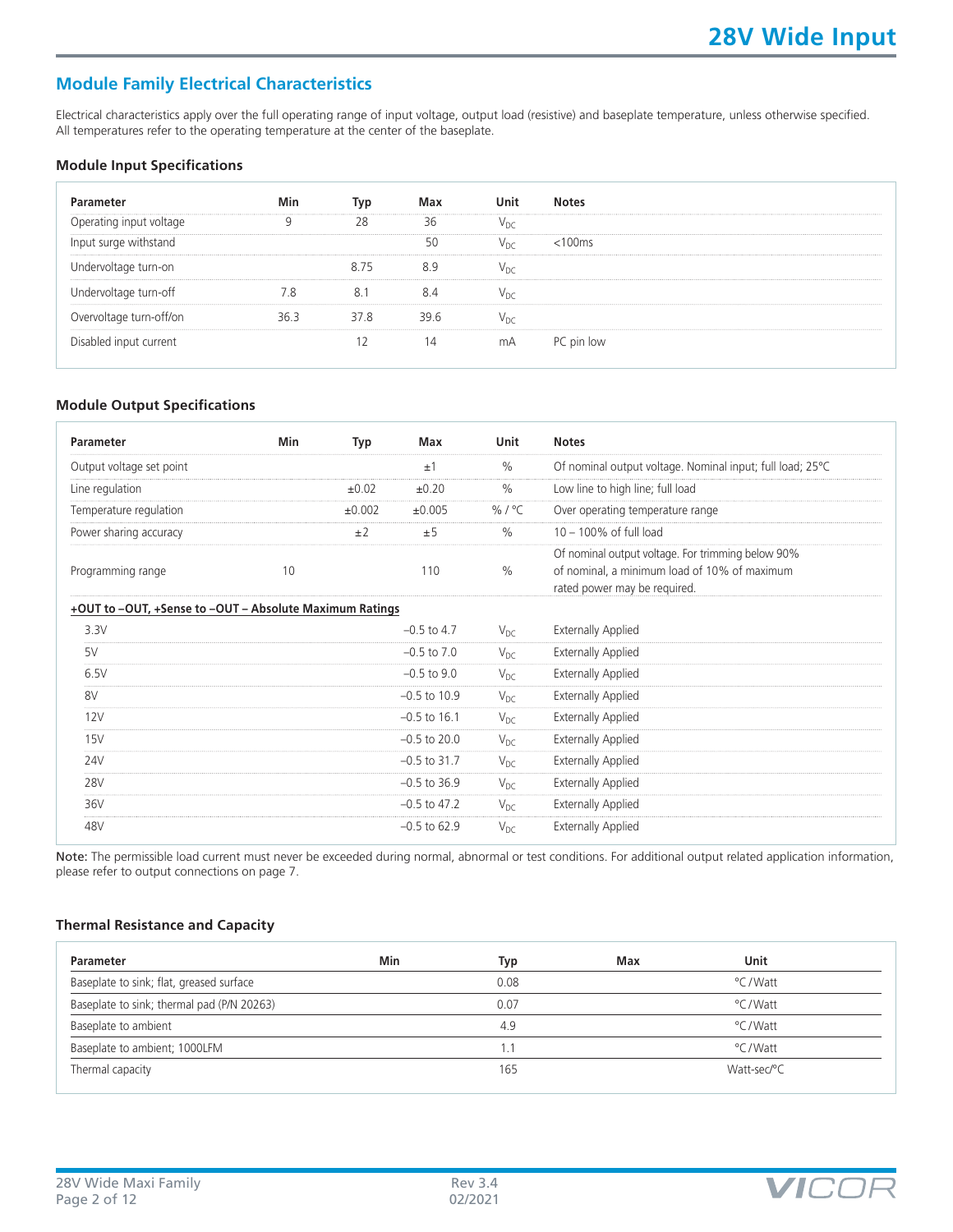## **Module Family Electrical Characteristics**

Electrical characteristics apply over the full operating range of input voltage, output load (resistive) and baseplate temperature, unless otherwise specified. All temperatures refer to the operating temperature at the center of the baseplate.

#### **Module Input Specifications**

| Parameter               | Min  | lvn  | Max  |     | <b>Notes</b> |
|-------------------------|------|------|------|-----|--------------|
| Operating input voltage |      | 28   | 36   |     |              |
| Input surge withstand   |      |      | 50   | Vnc | $<$ 100 $ms$ |
| Undervoltage turn-on    |      |      |      |     |              |
| Undervoltage turn-off   |      |      |      |     |              |
| Overvoltage turn-off/on | ⊰h ⊰ | 37.8 | 39 R |     |              |
| Disabled input current  |      |      | 14   | mA  | PC pin low   |

#### **Module Output Specifications**

| Parameter                                               | Min | Typ        | Max             | Unit             | <b>Notes</b>                                                                                                                      |
|---------------------------------------------------------|-----|------------|-----------------|------------------|-----------------------------------------------------------------------------------------------------------------------------------|
| Output voltage set point                                |     |            | ±1              | %                | Of nominal output voltage. Nominal input; full load; 25°C                                                                         |
| Line regulation                                         |     | $\pm 0.02$ | ±0.20           | %                | Low line to high line; full load                                                                                                  |
| Temperature regulation                                  |     | ±0.002     | ±0.005          | % / $^{\circ}$ C | Over operating temperature range                                                                                                  |
| Power sharing accuracy                                  |     | ±2         | ±5              | %                | $10 - 100\%$ of full load                                                                                                         |
| Programming range                                       | 10  |            | 110             | $\%$             | Of nominal output voltage. For trimming below 90%<br>of nominal, a minimum load of 10% of maximum<br>rated power may be required. |
| +OUT to -OUT, +Sense to -OUT - Absolute Maximum Ratings |     |            |                 |                  |                                                                                                                                   |
| 3.3V                                                    |     |            | $-0.5$ to 4.7   | $V_{DC}$         | <b>Externally Applied</b>                                                                                                         |
| 5V                                                      |     |            | $-0.5$ to $7.0$ | $V_{DC}$         | <b>Externally Applied</b>                                                                                                         |
| 6.5V                                                    |     |            | $-0.5$ to $9.0$ | $V_{DC}$         | <b>Externally Applied</b>                                                                                                         |
| 8V                                                      |     |            | $-0.5$ to 10.9  | $V_{DC}$         | <b>Externally Applied</b>                                                                                                         |
| 12V                                                     |     |            | $-0.5$ to 16.1  | $V_{DC}$         | <b>Externally Applied</b>                                                                                                         |
| 15V                                                     |     |            | $-0.5$ to 20.0  | $V_{DC}$         | <b>Externally Applied</b>                                                                                                         |
| 24V                                                     |     |            | $-0.5$ to 31.7  | $V_{DC}$         | <b>Externally Applied</b>                                                                                                         |
| <b>28V</b>                                              |     |            | $-0.5$ to 36.9  | $V_{DC}$         | <b>Externally Applied</b>                                                                                                         |
| 36V                                                     |     |            | $-0.5$ to 47.2  | $V_{DC}$         | <b>Externally Applied</b>                                                                                                         |
| 48V                                                     |     |            | $-0.5$ to 62.9  | $V_{DC}$         | <b>Externally Applied</b>                                                                                                         |

Note: The permissible load current must never be exceeded during normal, abnormal or test conditions. For additional output related application information, please refer to output connections on page 7.

#### **Thermal Resistance and Capacity**

| Parameter                                  | Min | Typ  | Max | Unit        |  |
|--------------------------------------------|-----|------|-----|-------------|--|
| Baseplate to sink; flat, greased surface   |     | 0.08 |     | °C / Watt   |  |
| Baseplate to sink; thermal pad (P/N 20263) |     | 0.07 |     | °C/Watt     |  |
| Baseplate to ambient                       |     | 4.9  |     | °C/Watt     |  |
| Baseplate to ambient; 1000LFM              |     | 1.1  |     | °C/Watt     |  |
| Thermal capacity                           |     | 165  |     | Watt-sec/°C |  |

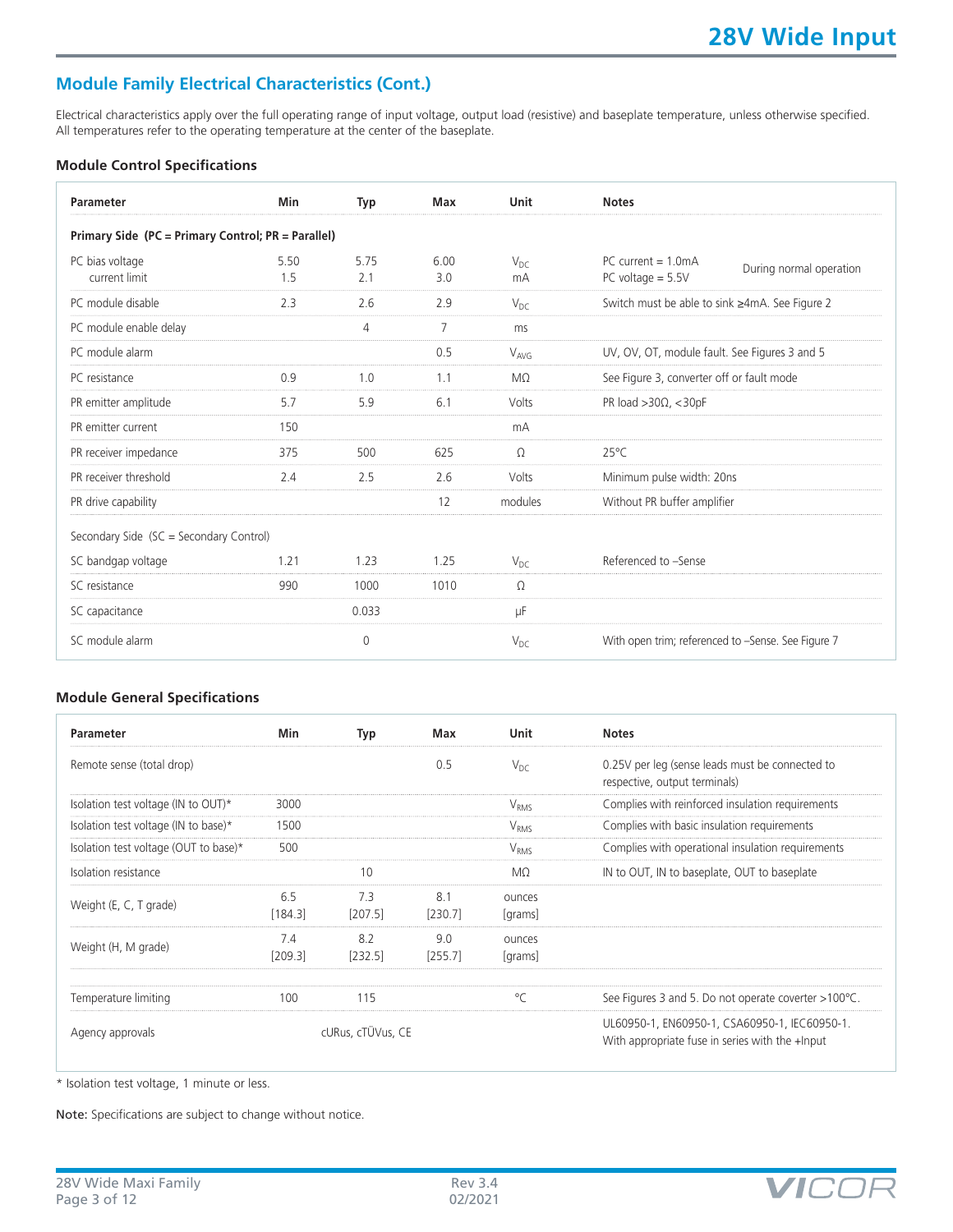## **Module Family Electrical Characteristics (Cont.)**

Electrical characteristics apply over the full operating range of input voltage, output load (resistive) and baseplate temperature, unless otherwise specified. All temperatures refer to the operating temperature at the center of the baseplate.

#### **Module Control Specifications**

| Parameter                                          | Min         | Typ            | <b>Max</b>     | Unit           | <b>Notes</b>                                                           |
|----------------------------------------------------|-------------|----------------|----------------|----------------|------------------------------------------------------------------------|
| Primary Side (PC = Primary Control; PR = Parallel) |             |                |                |                |                                                                        |
| PC bias voltage<br>current limit                   | 5.50<br>1.5 | 5.75<br>2.1    | 6.00<br>3.0    | $V_{DC}$<br>mA | $PC$ current = 1.0mA<br>During normal operation<br>PC voltage $= 5.5V$ |
| PC module disable                                  | 2.3         | 2.6            | 2.9            | $V_{DC}$       | Switch must be able to sink ≥4mA. See Figure 2                         |
| PC module enable delay                             |             | $\overline{4}$ | $\overline{7}$ | ms             |                                                                        |
| PC module alarm                                    |             |                | 0.5            | $V_{AVG}$      | UV, OV, OT, module fault. See Figures 3 and 5                          |
| PC resistance                                      | 0.9         | 1.0            | 1.1            | MQ.            | See Figure 3, converter off or fault mode                              |
| PR emitter amplitude                               | 5.7         | 5.9            | 6.1            | Volts          | PR load $>30\Omega$ , $<$ 30pF                                         |
| PR emitter current                                 | 150         |                |                | mA             |                                                                        |
| PR receiver impedance                              | 375         | 500            | 625            | $\Omega$       | $25^{\circ}$ C                                                         |
| PR receiver threshold                              | 2.4         | 2.5            | 2.6            | Volts          | Minimum pulse width: 20ns                                              |
| PR drive capability                                |             |                | 12             | modules        | Without PR buffer amplifier                                            |
| Secondary Side (SC = Secondary Control)            |             |                |                |                |                                                                        |
| SC bandgap voltage                                 | 1.21        | 1.23           | 1.25           | $V_{DC}$       | Referenced to -Sense                                                   |
| SC resistance                                      | 990         | 1000           | 1010           | Ω              |                                                                        |
| SC capacitance                                     |             | 0.033          |                | μF             |                                                                        |
| SC module alarm                                    |             | $\Omega$       |                | $V_{DC}$       | With open trim; referenced to -Sense. See Figure 7                     |

#### **Module General Specifications**

| Parameter                             | Min            | Typ               | Max            | <b>Unit</b>       | <b>Notes</b>                                                                                     |
|---------------------------------------|----------------|-------------------|----------------|-------------------|--------------------------------------------------------------------------------------------------|
| Remote sense (total drop)             |                |                   | 0.5            | $V_{DC}$          | 0.25V per leg (sense leads must be connected to<br>respective, output terminals)                 |
| Isolation test voltage (IN to OUT)*   | 3000           |                   |                | V <sub>RMS</sub>  | Complies with reinforced insulation requirements                                                 |
| Isolation test voltage (IN to base)*  | 1500           |                   |                | V <sub>RMS</sub>  | Complies with basic insulation requirements                                                      |
| Isolation test voltage (OUT to base)* | 500            |                   |                | $V_{RMS}$         | Complies with operational insulation requirements                                                |
| Isolation resistance                  |                | 10                |                | MΩ                | IN to OUT, IN to baseplate, OUT to baseplate                                                     |
| Weight (E, C, T grade)                | 6.5<br>[184.3] | 7.3<br>[207.5]    | 8.1<br>[230.7] | ounces<br> grams  |                                                                                                  |
| Weight (H, M grade)                   | 7.4<br>[209.3] | 8.2<br>[232.5]    | 9.0<br>[255.7] | ounces<br>[grams] |                                                                                                  |
| Temperature limiting                  | 100            | 115               |                | $\circ$ C         | See Figures 3 and 5. Do not operate coverter >100°C.                                             |
| Agency approvals                      |                | cURus, cTÜVus, CE |                |                   | UL60950-1, EN60950-1, CSA60950-1, IEC60950-1.<br>With appropriate fuse in series with the +Input |

\* Isolation test voltage, 1 minute or less.

Note: Specifications are subject to change without notice.

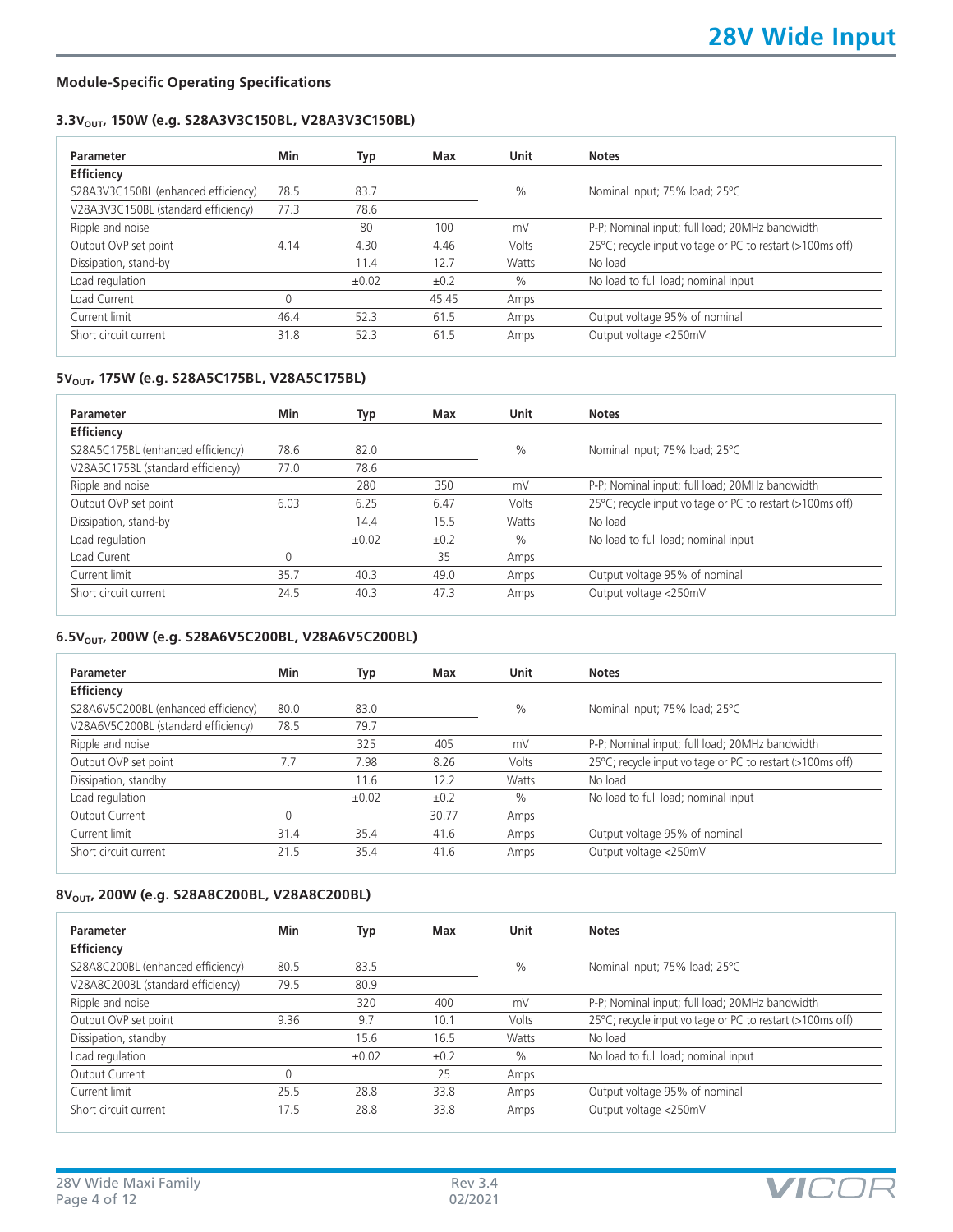#### **Module-Specific Operating Specifications**

#### 3.3V<sub>OUT</sub>, 150W (e.g. S28A3V3C150BL, V28A3V3C150BL)

| Parameter                           | Min  | Typ   | Max       | Unit  | <b>Notes</b>                                              |
|-------------------------------------|------|-------|-----------|-------|-----------------------------------------------------------|
| <b>Efficiency</b>                   |      |       |           |       |                                                           |
| S28A3V3C150BL (enhanced efficiency) | 78.5 | 83.7  |           | $\%$  | Nominal input; 75% load; 25°C                             |
| V28A3V3C150BL (standard efficiency) | 77.3 | 78.6  |           |       |                                                           |
| Ripple and noise                    |      | 80    | 100       | mV    | P-P; Nominal input; full load; 20MHz bandwidth            |
| Output OVP set point                | 4.14 | 4.30  | 4.46      | Volts | 25°C; recycle input voltage or PC to restart (>100ms off) |
| Dissipation, stand-by               |      | 11.4  | 12.7      | Watts | No load                                                   |
| Load regulation                     |      | ±0.02 | $\pm 0.2$ | $\%$  | No load to full load; nominal input                       |
| Load Current                        | 0    |       | 45.45     | Amps  |                                                           |
| Current limit                       | 46.4 | 52.3  | 61.5      | Amps  | Output voltage 95% of nominal                             |
| Short circuit current               | 31.8 | 52.3  | 61.5      | Amps  | Output voltage <250mV                                     |

## 5V<sub>OUT</sub>, 175W (e.g. S28A5C175BL, V28A5C175BL)

| Parameter                         | Min  | Typ        | Max  | <b>Unit</b>   | <b>Notes</b>                                              |
|-----------------------------------|------|------------|------|---------------|-----------------------------------------------------------|
| Efficiency                        |      |            |      |               |                                                           |
| S28A5C175BL (enhanced efficiency) | 78.6 | 82.0       |      | $\frac{0}{0}$ | Nominal input; 75% load; 25°C                             |
| V28A5C175BL (standard efficiency) | 77.0 | 78.6       |      |               |                                                           |
| Ripple and noise                  |      | 280        | 350  | mV            | P-P; Nominal input; full load; 20MHz bandwidth            |
| Output OVP set point              | 6.03 | 6.25       | 6.47 | Volts         | 25°C; recycle input voltage or PC to restart (>100ms off) |
| Dissipation, stand-by             |      | 14.4       | 15.5 | Watts         | No load                                                   |
| Load regulation                   |      | $\pm 0.02$ | ±0.2 | $\%$          | No load to full load; nominal input                       |
| Load Curent                       |      |            | 35   | Amps          |                                                           |
| Current limit                     | 35.7 | 40.3       | 49.0 | Amps          | Output voltage 95% of nominal                             |
| Short circuit current             | 24.5 | 40.3       | 47.3 | Amps          | Output voltage <250mV                                     |

#### **6.5VOUT, 200W (e.g. S28A6V5C200BL, V28A6V5C200BL)**

| Parameter                           | Min  | Typ   | Max   | Unit  | <b>Notes</b>                                              |
|-------------------------------------|------|-------|-------|-------|-----------------------------------------------------------|
| <b>Efficiency</b>                   |      |       |       |       |                                                           |
| S28A6V5C200BL (enhanced efficiency) | 80.0 | 83.0  |       | $\%$  | Nominal input; 75% load; 25°C                             |
| V28A6V5C200BL (standard efficiency) | 78.5 | 79.7  |       |       |                                                           |
| Ripple and noise                    |      | 325   | 405   | mV    | P-P; Nominal input; full load; 20MHz bandwidth            |
| Output OVP set point                | 7.7  | 7.98  | 8.26  | Volts | 25°C; recycle input voltage or PC to restart (>100ms off) |
| Dissipation, standby                |      | 11.6  | 12.2  | Watts | No load                                                   |
| Load regulation                     |      | ±0.02 | ±0.2  | $\%$  | No load to full load; nominal input                       |
| Output Current                      | 0    |       | 30.77 | Amps  |                                                           |
| Current limit                       | 31.4 | 35.4  | 41.6  | Amps  | Output voltage 95% of nominal                             |
| Short circuit current               | 21.5 | 35.4  | 41.6  | Amps  | Output voltage <250mV                                     |

#### 8V<sub>OUT</sub>, 200W (e.g. S28A8C200BL, V28A8C200BL)

| Parameter                         | Min  | Typ   | Max  | Unit  | <b>Notes</b>                                              |
|-----------------------------------|------|-------|------|-------|-----------------------------------------------------------|
| Efficiency                        |      |       |      |       |                                                           |
| S28A8C200BL (enhanced efficiency) | 80.5 | 83.5  |      | $\%$  | Nominal input; 75% load; 25°C                             |
| V28A8C200BL (standard efficiency) | 79.5 | 80.9  |      |       |                                                           |
| Ripple and noise                  |      | 320   | 400  | mV    | P-P; Nominal input; full load; 20MHz bandwidth            |
| Output OVP set point              | 9.36 | 9.7   | 10.1 | Volts | 25°C; recycle input voltage or PC to restart (>100ms off) |
| Dissipation, standby              |      | 15.6  | 16.5 | Watts | No load                                                   |
| Load regulation                   |      | ±0.02 | ±0.2 | $\%$  | No load to full load; nominal input                       |
| Output Current                    | 0    |       | 25   | Amps  |                                                           |
| Current limit                     | 25.5 | 28.8  | 33.8 | Amps  | Output voltage 95% of nominal                             |
| Short circuit current             | 17.5 | 28.8  | 33.8 | Amps  | Output voltage <250mV                                     |



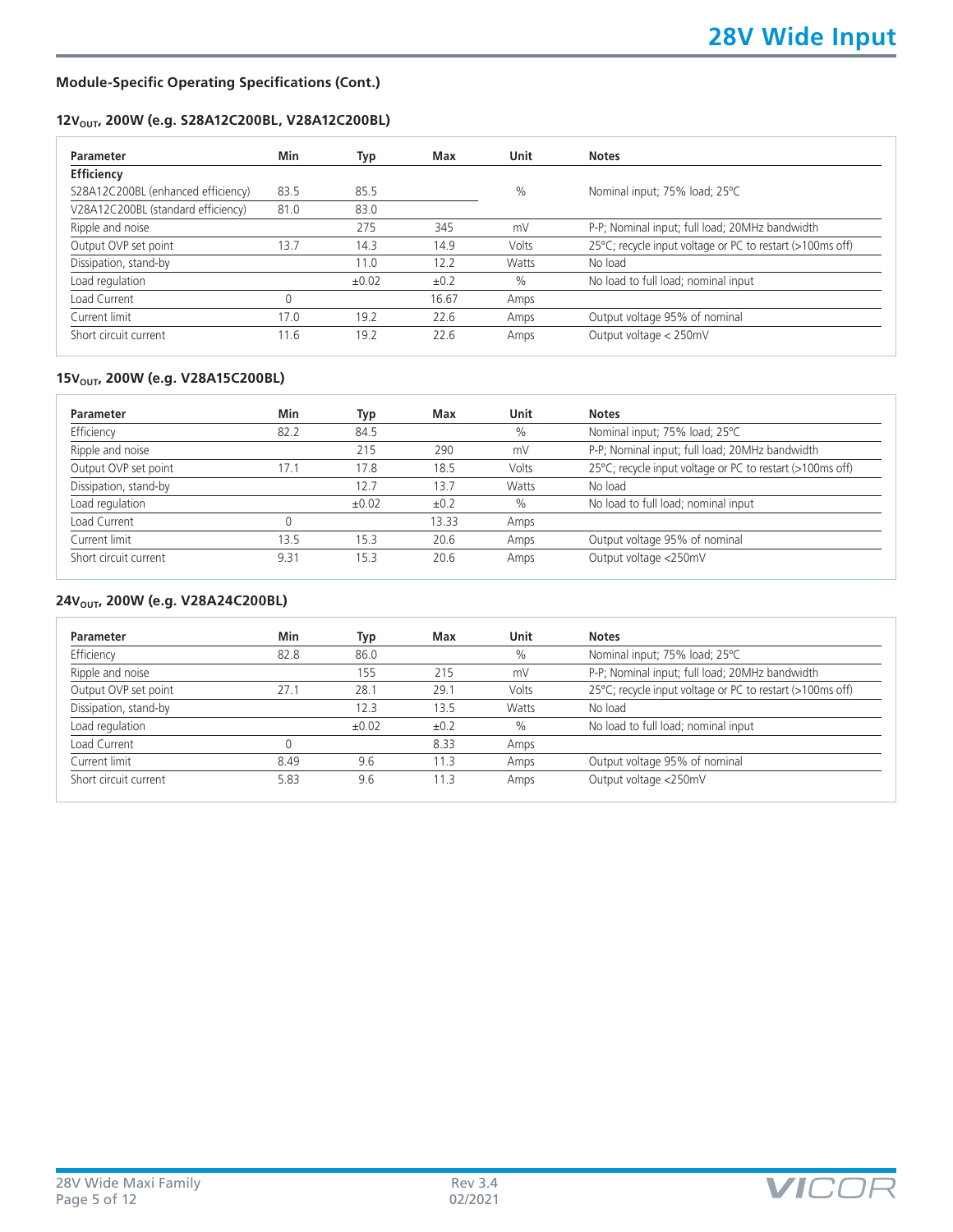#### **Module-Specific Operating Specifications (Cont.)**

#### 12V<sub>OUT</sub>, 200W (e.g. S28A12C200BL, V28A12C200BL)

| Parameter                          | Min  | Typ   | Max   | Unit          | <b>Notes</b>                                              |
|------------------------------------|------|-------|-------|---------------|-----------------------------------------------------------|
| Efficiency                         |      |       |       |               |                                                           |
| S28A12C200BL (enhanced efficiency) | 83.5 | 85.5  |       | $\frac{0}{0}$ | Nominal input; 75% load; 25°C                             |
| V28A12C200BL (standard efficiency) | 81.0 | 83.0  |       |               |                                                           |
| Ripple and noise                   |      | 275   | 345   | mV            | P-P; Nominal input; full load; 20MHz bandwidth            |
| Output OVP set point               | 13.7 | 14.3  | 14.9  | Volts         | 25°C; recycle input voltage or PC to restart (>100ms off) |
| Dissipation, stand-by              |      | 11.0  | 12.2  | Watts         | No load                                                   |
| Load regulation                    |      | ±0.02 | ±0.2  | $\%$          | No load to full load; nominal input                       |
| Load Current                       | 0    |       | 16.67 | Amps          |                                                           |
| Current limit                      | 17.0 | 19.2  | 22.6  | Amps          | Output voltage 95% of nominal                             |
| Short circuit current              | 11.6 | 19.2  | 22.6  | Amps          | Output voltage < 250mV                                    |
|                                    |      |       |       |               |                                                           |

#### 15V<sub>OUT</sub>, 200W (e.g. V28A15C200BL)

| Parameter             | Min  | Typ        | Max   | Unit  | <b>Notes</b>                                              |
|-----------------------|------|------------|-------|-------|-----------------------------------------------------------|
| Efficiency            | 82.2 | 84.5       |       | $\%$  | Nominal input; 75% load; 25°C                             |
| Ripple and noise      |      | 215        | 290   | mV    | P-P; Nominal input; full load; 20MHz bandwidth            |
| Output OVP set point  | 17.1 | 17.8       | 18.5  | Volts | 25°C; recycle input voltage or PC to restart (>100ms off) |
| Dissipation, stand-by |      | 12.7       | 13.7  | Watts | No load                                                   |
| Load regulation       |      | $\pm 0.02$ | ±0.2  | $\%$  | No load to full load; nominal input                       |
| Load Current          |      |            | 13.33 | Amps  |                                                           |
| Current limit         | 13.5 | 15.3       | 20.6  | Amps  | Output voltage 95% of nominal                             |
| Short circuit current | 9.31 | 15.3       | 20.6  | Amps  | Output voltage <250mV                                     |

### 24V<sub>OUT</sub>, 200W (e.g. V28A24C200BL)

| <b>Parameter</b>      | Min  | Typ        | Max  | Unit  | <b>Notes</b>                                              |
|-----------------------|------|------------|------|-------|-----------------------------------------------------------|
| Efficiency            | 82.8 | 86.0       |      | $\%$  | Nominal input; 75% load; 25°C                             |
| Ripple and noise      |      | 155        | 215  | mV    | P-P; Nominal input; full load; 20MHz bandwidth            |
| Output OVP set point  | 27.1 | 28.1       | 29.1 | Volts | 25°C; recycle input voltage or PC to restart (>100ms off) |
| Dissipation, stand-by |      | 12.3       | 13.5 | Watts | No load                                                   |
| Load regulation       |      | $\pm 0.02$ | ±0.2 | $\%$  | No load to full load; nominal input                       |
| Load Current          |      |            | 8.33 | Amps  |                                                           |
| Current limit         | 8.49 | 9.6        | 11.3 | Amps  | Output voltage 95% of nominal                             |
| Short circuit current | 5.83 | 9.6        | 11.3 | Amps  | Output voltage <250mV                                     |

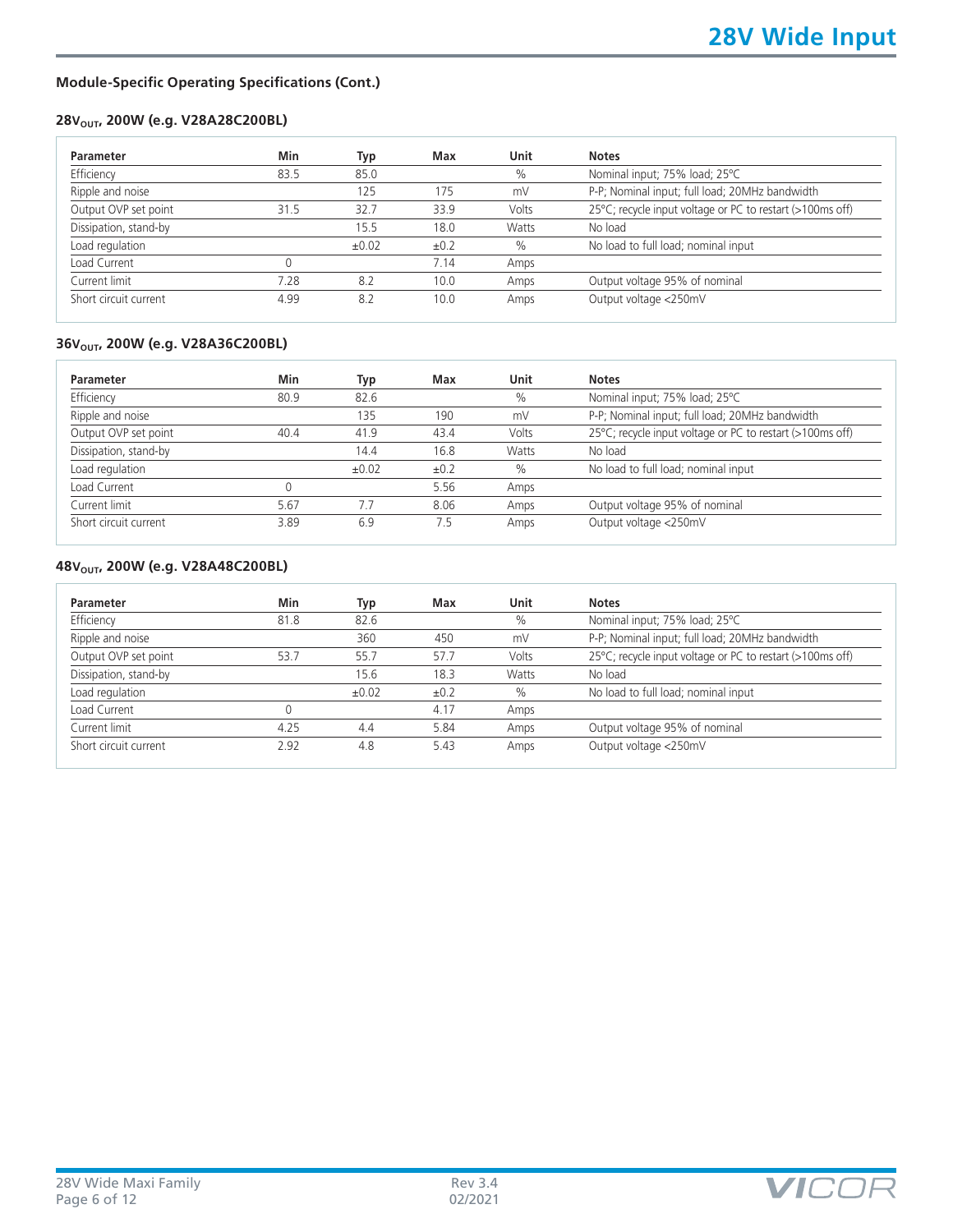#### **Module-Specific Operating Specifications (Cont.)**

### **28V<sub>OUT</sub>, 200W (e.g. V28A28C200BL)**

| Min  | Typ        | Max  | Unit  | <b>Notes</b>                                              |
|------|------------|------|-------|-----------------------------------------------------------|
| 83.5 | 85.0       |      | $\%$  | Nominal input; 75% load; 25°C                             |
|      | 125        | 175  | mV    | P-P; Nominal input; full load; 20MHz bandwidth            |
| 31.5 | 32.7       | 33.9 | Volts | 25°C; recycle input voltage or PC to restart (>100ms off) |
|      | 15.5       | 18.0 | Watts | No load                                                   |
|      | $\pm 0.02$ | ±0.2 | $\%$  | No load to full load; nominal input                       |
|      |            | 7.14 | Amps  |                                                           |
| 7.28 | 8.2        | 10.0 | Amps  | Output voltage 95% of nominal                             |
| 4.99 | 8.2        | 10.0 | Amps  | Output voltage <250mV                                     |
|      |            |      |       |                                                           |

## 36V<sub>OUT</sub>, 200W (e.g. V28A36C200BL)

| Parameter             | Min  | Typ   | Max  | Unit  | <b>Notes</b>                                              |
|-----------------------|------|-------|------|-------|-----------------------------------------------------------|
| Efficiency            | 80.9 | 82.6  |      | $\%$  | Nominal input; 75% load; 25°C                             |
| Ripple and noise      |      | 135   | 190  | mV    | P-P; Nominal input; full load; 20MHz bandwidth            |
| Output OVP set point  | 40.4 | 41.9  | 43.4 | Volts | 25°C; recycle input voltage or PC to restart (>100ms off) |
| Dissipation, stand-by |      | 14.4  | 16.8 | Watts | No load                                                   |
| Load regulation       |      | ±0.02 | ±0.2 | $\%$  | No load to full load; nominal input                       |
| Load Current          | 0    |       | 5.56 | Amps  |                                                           |
| Current limit         | 5.67 | 7.7   | 8.06 | Amps  | Output voltage 95% of nominal                             |
| Short circuit current | 3.89 | 6.9   | 7.5  | Amps  | Output voltage <250mV                                     |

#### **48V<sub>OUT</sub>, 200W (e.g. V28A48C200BL)**

| Parameter             | Min  | Typ        | Max  | Unit  | <b>Notes</b>                                              |
|-----------------------|------|------------|------|-------|-----------------------------------------------------------|
| Efficiency            | 81.8 | 82.6       |      | $\%$  | Nominal input; 75% load; 25°C                             |
| Ripple and noise      |      | 360        | 450  | mV    | P-P; Nominal input; full load; 20MHz bandwidth            |
| Output OVP set point  | 53.7 | 55.7       | 57.7 | Volts | 25°C; recycle input voltage or PC to restart (>100ms off) |
| Dissipation, stand-by |      | 15.6       | 18.3 | Watts | No load                                                   |
| Load regulation       |      | $\pm 0.02$ | ±0.2 | $\%$  | No load to full load; nominal input                       |
| Load Current          |      |            | 4.17 | Amps  |                                                           |
| Current limit         | 4.25 | 4.4        | 5.84 | Amps  | Output voltage 95% of nominal                             |
| Short circuit current | 2.92 | 4.8        | 5.43 | Amps  | Output voltage <250mV                                     |

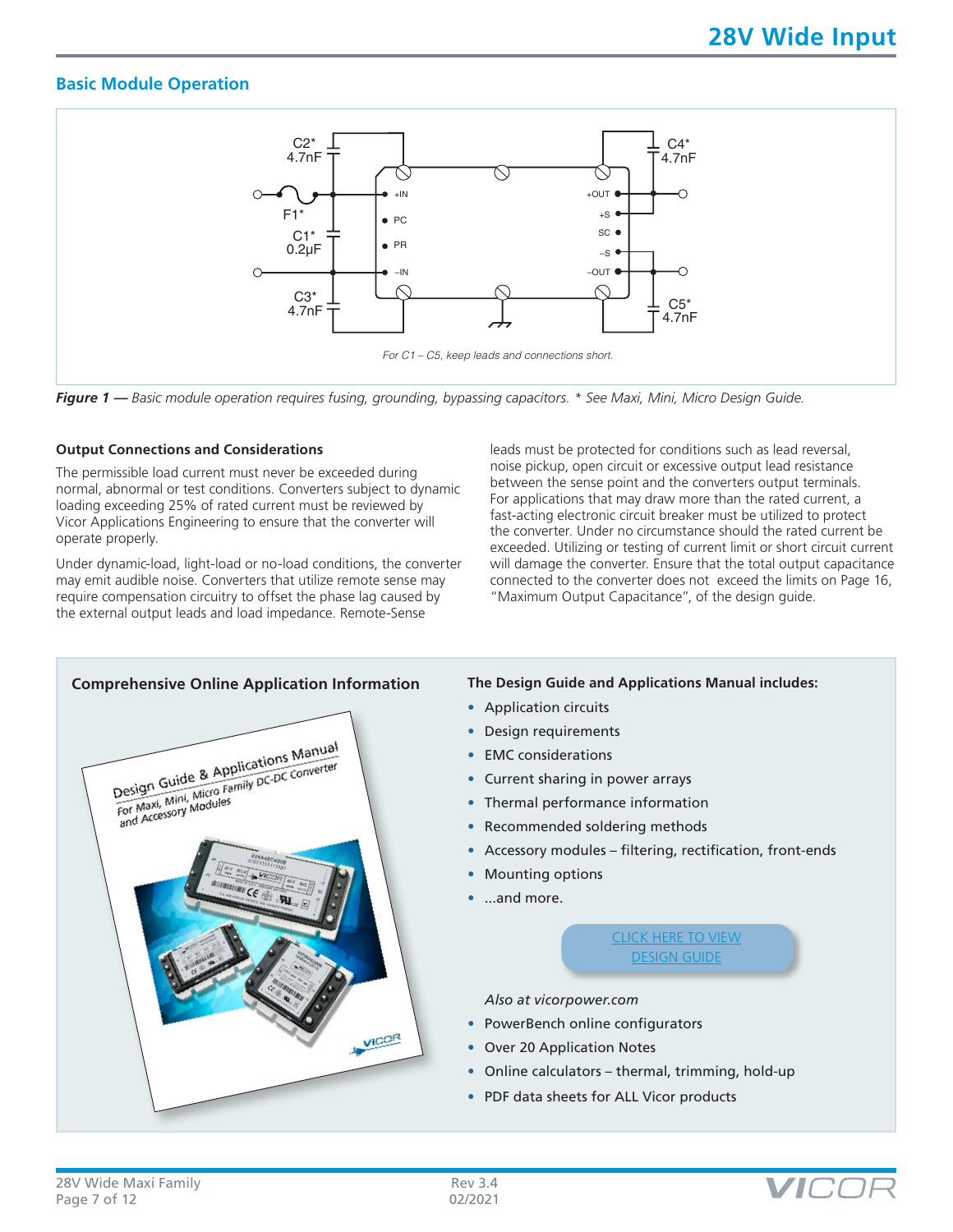## **Basic Module Operation**



*Figure 1 — Basic module operation requires fusing, grounding, bypassing capacitors. \* See Maxi, Mini, Micro Design Guide.*

#### **Output Connections and Considerations**

The permissible load current must never be exceeded during normal, abnormal or test conditions. Converters subject to dynamic loading exceeding 25% of rated current must be reviewed by Vicor Applications Engineering to ensure that the converter will operate properly.

Under dynamic-load, light-load or no-load conditions, the converter may emit audible noise. Converters that utilize remote sense may require compensation circuitry to offset the phase lag caused by the external output leads and load impedance. Remote-Sense

leads must be protected for conditions such as lead reversal, noise pickup, open circuit or excessive output lead resistance between the sense point and the converters output terminals. For applications that may draw more than the rated current, a fast-acting electronic circuit breaker must be utilized to protect the converter. Under no circumstance should the rated current be exceeded. Utilizing or testing of current limit or short circuit current will damage the converter. Ensure that the total output capacitance connected to the converter does not exceed the limits on Page 16, "Maximum Output Capacitance", of the design guide.



- Application circuits
- Design requirements
- EMC considerations
- Current sharing in power arrays
- Thermal performance information
- Recommended soldering methods
- Accessory modules filtering, rectification, front-ends
- Mounting options
- ...and more.

[CLICK HERE TO VIEW](http://www.vicorpower.com/documents/applications_manual/fas_trak_apps_manual.pdf) [DESIGN GUIDE](http://www.vicorpower.com/documents/applications_manual/fas_trak_apps_manual.pdf)

*Also at vicorpower.com*

- PowerBench online configurators
- Over 20 Application Notes
- Online calculators thermal, trimming, hold-up
- PDF data sheets for ALL Vicor products

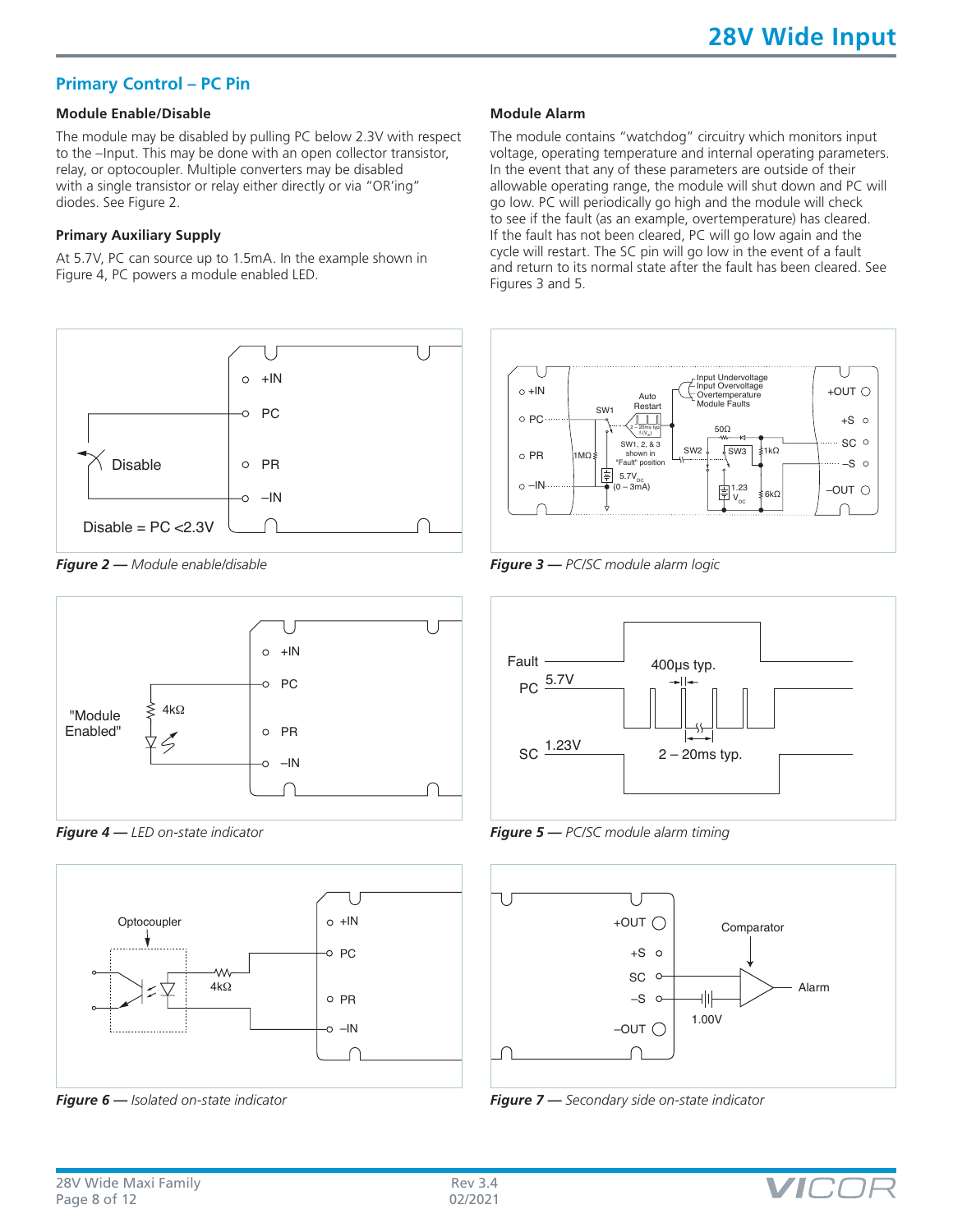## **Primary Control – PC Pin**

#### **Module Enable/Disable**

The module may be disabled by pulling PC below 2.3V with respect to the –Input. This may be done with an open collector transistor, relay, or optocoupler. Multiple converters may be disabled with a single transistor or relay either directly or via "OR'ing" diodes. See Figure 2.

#### **Primary Auxiliary Supply**

At 5.7V, PC can source up to 1.5mA. In the example shown in Figure 4, PC powers a module enabled LED.







*Figure 4 — LED on-state indicator*



*Figure 6 — Isolated on-state indicator*

#### **Module Alarm**

The module contains "watchdog" circuitry which monitors input voltage, operating temperature and internal operating parameters. In the event that any of these parameters are outside of their allowable operating range, the module will shut down and PC will go low. PC will periodically go high and the module will check to see if the fault (as an example, overtemperature) has cleared. If the fault has not been cleared, PC will go low again and the cycle will restart. The SC pin will go low in the event of a fault and return to its normal state after the fault has been cleared. See Figures 3 and 5.



*Figure 3 — PC/SC module alarm logic*



*Figure 5 — PC/SC module alarm timing*



*Figure 7 — Secondary side on-state indicator*

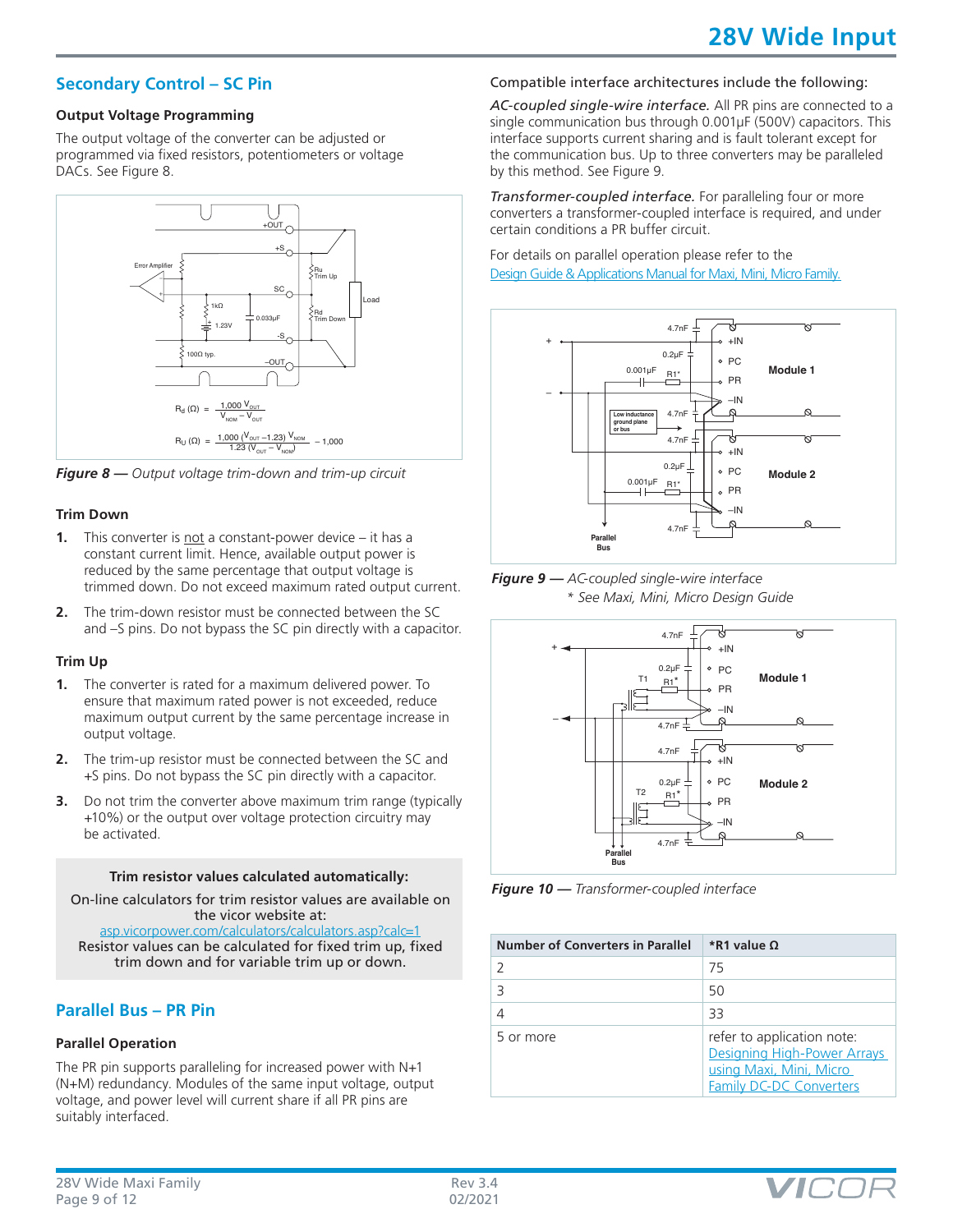## **Secondary Control – SC Pin**

#### **Output Voltage Programming**

The output voltage of the converter can be adjusted or programmed via fixed resistors, potentiometers or voltage DACs. See Figure 8.



*Figure 8 — Output voltage trim-down and trim-up circuit*

#### **Trim Down**

- **1.** This converter is not a constant-power device it has a constant current limit. Hence, available output power is reduced by the same percentage that output voltage is trimmed down. Do not exceed maximum rated output current.
- **2.** The trim-down resistor must be connected between the SC and –S pins. Do not bypass the SC pin directly with a capacitor.

#### **Trim Up**

- **1.** The converter is rated for a maximum delivered power. To ensure that maximum rated power is not exceeded, reduce maximum output current by the same percentage increase in output voltage.
- **2.** The trim-up resistor must be connected between the SC and +S pins. Do not bypass the SC pin directly with a capacitor.
- **3.** Do not trim the converter above maximum trim range (typically +10%) or the output over voltage protection circuitry may be activated.

#### **Trim resistor values calculated automatically:**

On-line calculators for trim resistor values are available on the vicor website at: [asp.vicorpower.com/calculators/calculators.asp?calc=1](http://asp.vicorpower.com/calculators/calculators.asp?calc=1)

Resistor values can be calculated for fixed trim up, fixed trim down and for variable trim up or down.

## **Parallel Bus – PR Pin**

#### **Parallel Operation**

The PR pin supports paralleling for increased power with N+1 (N+M) redundancy. Modules of the same input voltage, output voltage, and power level will current share if all PR pins are suitably interfaced.

## Compatible interface architectures include the following:

*AC-coupled single-wire interface.* All PR pins are connected to a single communication bus through 0.001µF (500V) capacitors. This interface supports current sharing and is fault tolerant except for the communication bus. Up to three converters may be paralleled by this method. See Figure 9.

*Transformer-coupled interface.* For paralleling four or more converters a transformer-coupled interface is required, and under certain conditions a PR buffer circuit.

For details on parallel operation please refer to the [Design Guide & Applications Manual for Maxi, Mini, Micro Family.](http://www.vicorpower.com/documents/applications_manual/fas_trak_apps_manual.pdf)







*Figure 10 — Transformer-coupled interface*

| <b>Number of Converters in Parallel</b> | <i>*R</i> 1 value Ω                                                                                                    |
|-----------------------------------------|------------------------------------------------------------------------------------------------------------------------|
|                                         | 75                                                                                                                     |
|                                         | 50                                                                                                                     |
|                                         | 33                                                                                                                     |
| 5 or more                               | refer to application note:<br>Designing High-Power Arrays<br>using Maxi, Mini, Micro<br><b>Family DC-DC Converters</b> |

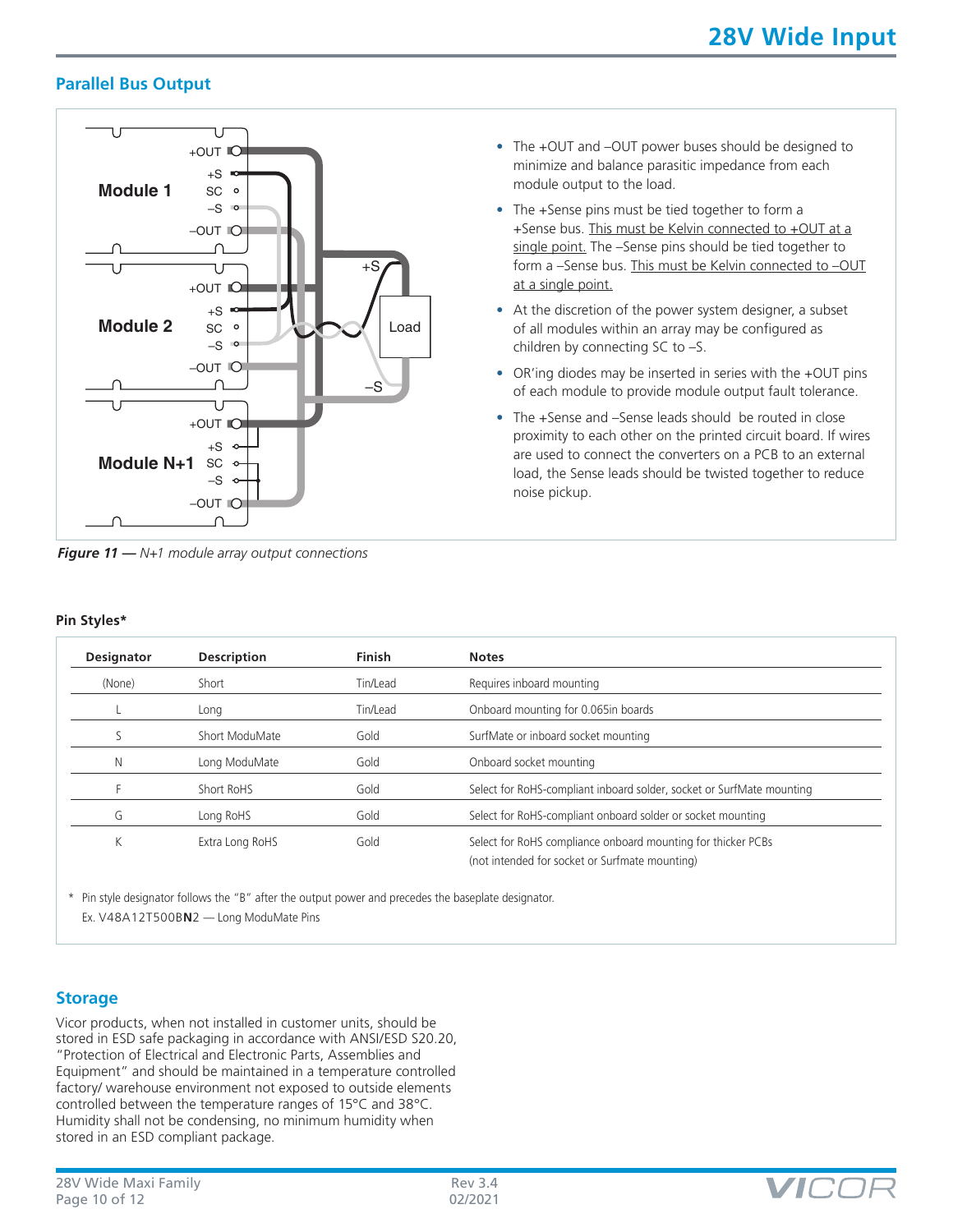## **Parallel Bus Output**



*Figure 11 — N+1 module array output connections*

- The +OUT and –OUT power buses should be designed to minimize and balance parasitic impedance from each module output to the load.
- The +Sense pins must be tied together to form a +Sense bus. This must be Kelvin connected to +OUT at a single point. The –Sense pins should be tied together to form a –Sense bus. This must be Kelvin connected to –OUT at a single point.
- At the discretion of the power system designer, a subset of all modules within an array may be configured as children by connecting SC to –S.
- OR'ing diodes may be inserted in series with the +OUT pins of each module to provide module output fault tolerance.
- The +Sense and –Sense leads should be routed in close proximity to each other on the printed circuit board. If wires are used to connect the converters on a PCB to an external load, the Sense leads should be twisted together to reduce noise pickup.

| Pin Styles* |  |
|-------------|--|
|             |  |

| <b>Designator</b> | <b>Description</b> | <b>Finish</b> | <b>Notes</b>                                                                                                   |
|-------------------|--------------------|---------------|----------------------------------------------------------------------------------------------------------------|
| (None)            | Short              | Tin/Lead      | Requires inboard mounting                                                                                      |
|                   | Long               | Tin/Lead      | Onboard mounting for 0.065in boards                                                                            |
|                   | Short ModuMate     | Gold          | SurfMate or inboard socket mounting                                                                            |
| N                 | Long ModuMate      | Gold          | Onboard socket mounting                                                                                        |
|                   | Short RoHS         | Gold          | Select for RoHS-compliant inboard solder, socket or SurfMate mounting                                          |
| G                 | Long RoHS          | Gold          | Select for RoHS-compliant onboard solder or socket mounting                                                    |
| Κ                 | Extra Long RoHS    | Gold          | Select for RoHS compliance onboard mounting for thicker PCBs<br>(not intended for socket or Surfmate mounting) |

\* Pin style designator follows the "B" after the output power and precedes the baseplate designator. Ex. V48A12T500B**N**2 — Long ModuMate Pins

### **Storage**

Vicor products, when not installed in customer units, should be stored in ESD safe packaging in accordance with ANSI/ESD S20.20, "Protection of Electrical and Electronic Parts, Assemblies and Equipment" and should be maintained in a temperature controlled factory/ warehouse environment not exposed to outside elements controlled between the temperature ranges of 15°C and 38°C. Humidity shall not be condensing, no minimum humidity when stored in an ESD compliant package.

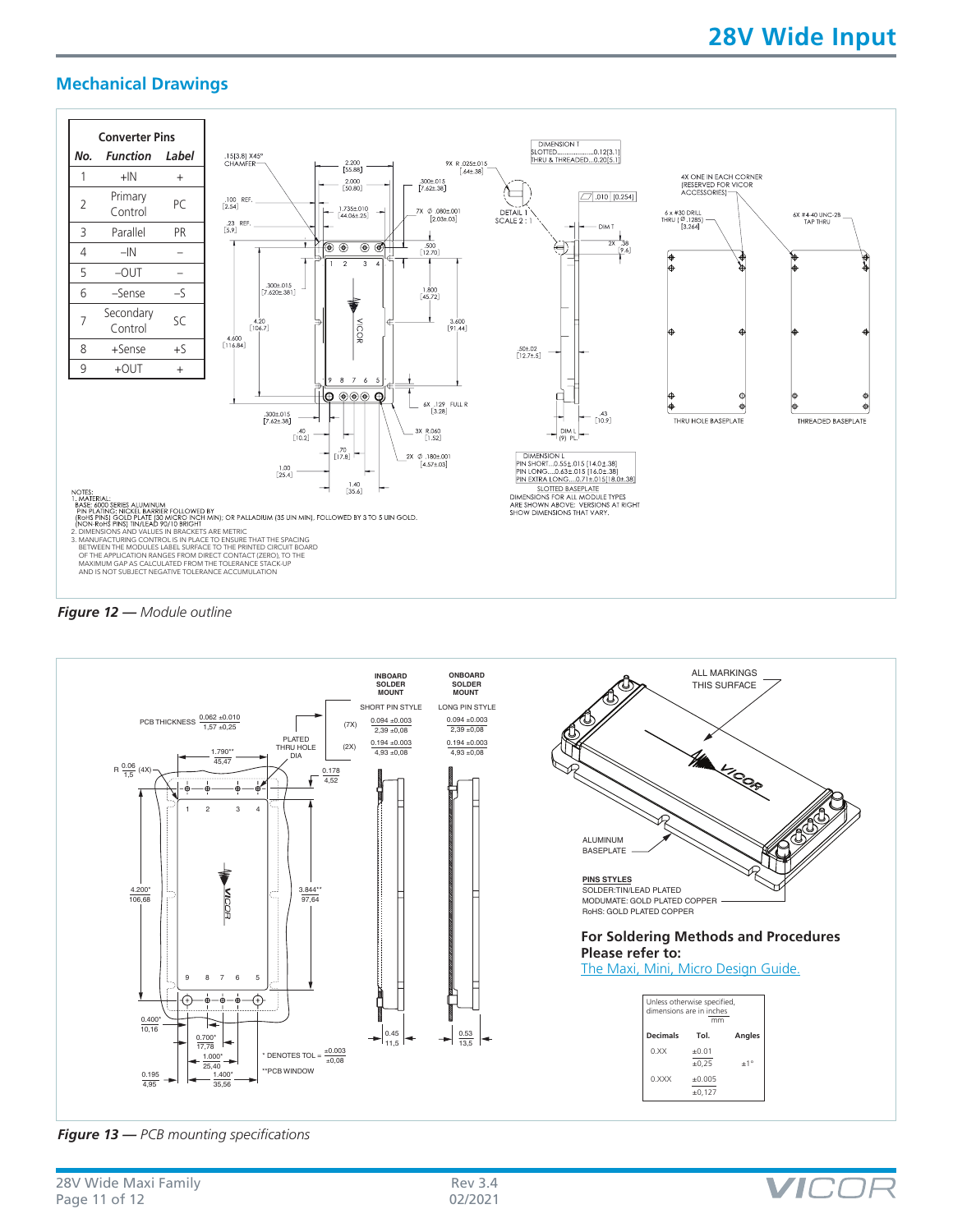**VIC** 

## **Mechanical Drawings**







*Figure 13 — PCB mounting specifications*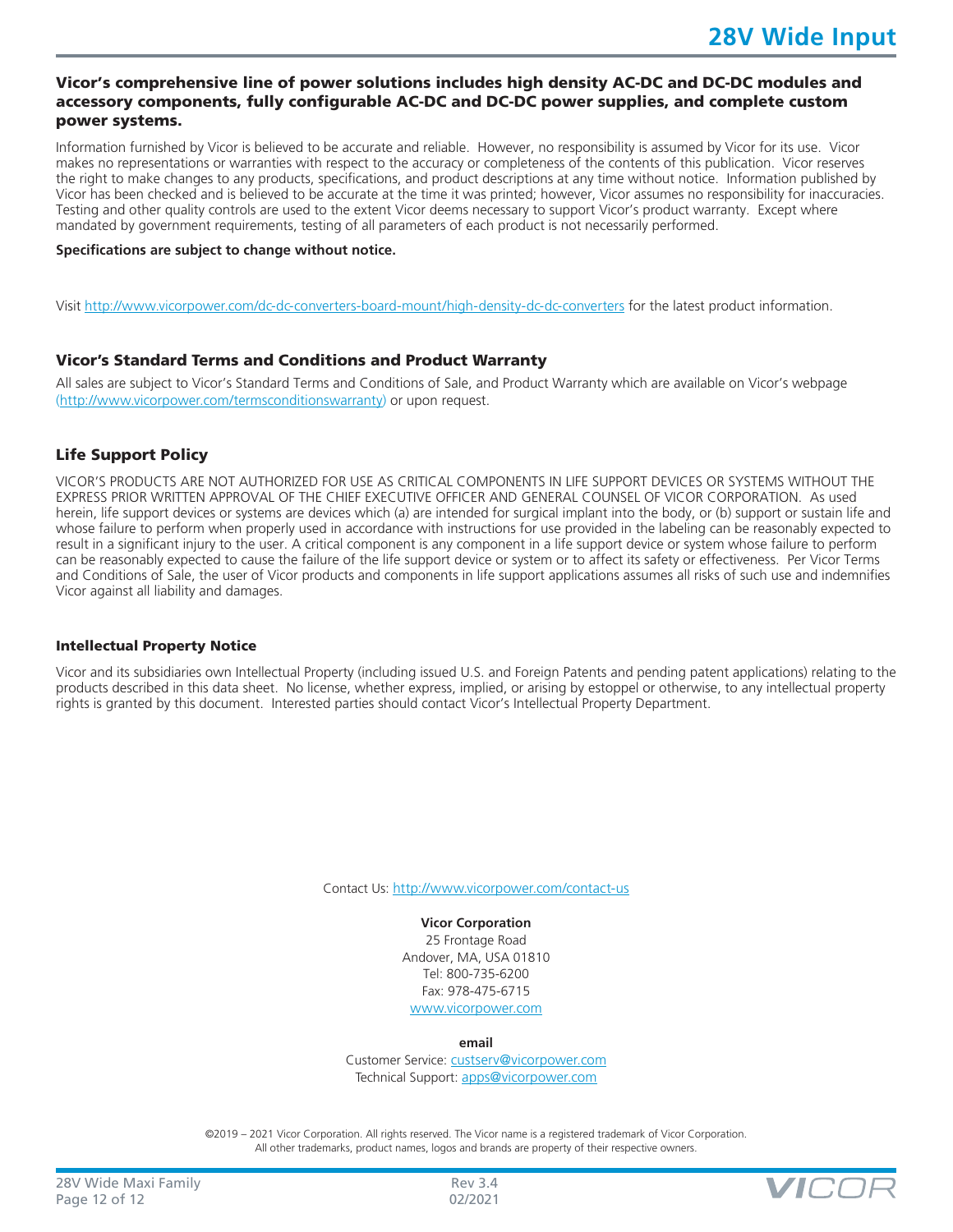#### Vicor's comprehensive line of power solutions includes high density AC-DC and DC-DC modules and accessory components, fully configurable AC-DC and DC-DC power supplies, and complete custom power systems.

Information furnished by Vicor is believed to be accurate and reliable. However, no responsibility is assumed by Vicor for its use. Vicor makes no representations or warranties with respect to the accuracy or completeness of the contents of this publication. Vicor reserves the right to make changes to any products, specifications, and product descriptions at any time without notice. Information published by Vicor has been checked and is believed to be accurate at the time it was printed; however, Vicor assumes no responsibility for inaccuracies. Testing and other quality controls are used to the extent Vicor deems necessary to support Vicor's product warranty. Except where mandated by government requirements, testing of all parameters of each product is not necessarily performed.

#### **Specifications are subject to change without notice.**

Visit<http://www.vicorpower.com/dc-dc-converters-board-mount/high-density-dc-dc-converters> for the latest product information.

#### Vicor's Standard Terms and Conditions and Product Warranty

All sales are subject to Vicor's Standard Terms and Conditions of Sale, and Product Warranty which are available on Vicor's webpage ([http://www.vicorpower.com/termsconditionswarranty\)](http://www.vicorpower.com/termsconditions) or upon request.

#### Life Support Policy

VICOR'S PRODUCTS ARE NOT AUTHORIZED FOR USE AS CRITICAL COMPONENTS IN LIFE SUPPORT DEVICES OR SYSTEMS WITHOUT THE EXPRESS PRIOR WRITTEN APPROVAL OF THE CHIEF EXECUTIVE OFFICER AND GENERAL COUNSEL OF VICOR CORPORATION. As used herein, life support devices or systems are devices which (a) are intended for surgical implant into the body, or (b) support or sustain life and whose failure to perform when properly used in accordance with instructions for use provided in the labeling can be reasonably expected to result in a significant injury to the user. A critical component is any component in a life support device or system whose failure to perform can be reasonably expected to cause the failure of the life support device or system or to affect its safety or effectiveness. Per Vicor Terms and Conditions of Sale, the user of Vicor products and components in life support applications assumes all risks of such use and indemnifies Vicor against all liability and damages.

#### Intellectual Property Notice

Vicor and its subsidiaries own Intellectual Property (including issued U.S. and Foreign Patents and pending patent applications) relating to the products described in this data sheet. No license, whether express, implied, or arising by estoppel or otherwise, to any intellectual property rights is granted by this document. Interested parties should contact Vicor's Intellectual Property Department.

Contact Us: <http://www.vicorpower.com/contact-us>

**Vicor Corporation** 25 Frontage Road Andover, MA, USA 01810 Tel: 800-735-6200 Fax: 978-475-6715 [www.vicorpower.com](http://www.vicorpower.com)

**email**

Customer Service: [custserv@vicorpower.com](mailto:%20custserv%40vicorpower.com?subject=) Technical Support: [apps@vicorpower.com](mailto:apps%40vicorpower.com?subject=)

©2019 – 2021 Vicor Corporation. All rights reserved. The Vicor name is a registered trademark of Vicor Corporation. All other trademarks, product names, logos and brands are property of their respective owners.